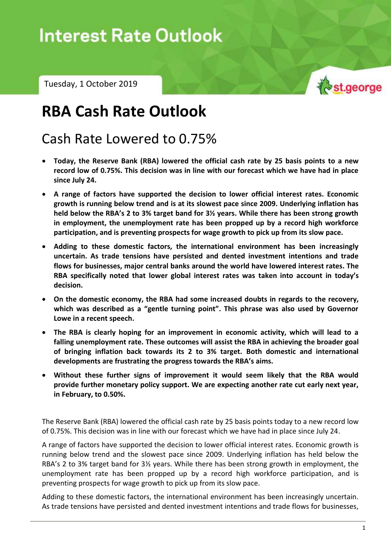# Interest Rate Outlook – Tuesday, 1 October 2019

Tuesday, 1 October 2019



## **RBA Cash Rate Outlook**

### Cash Rate Lowered to 0.75%

- **Today, the Reserve Bank (RBA) lowered the official cash rate by 25 basis points to a new record low of 0.75%. This decision was in line with our forecast which we have had in place since July 24.**
- **A range of factors have supported the decision to lower official interest rates. Economic growth is running below trend and is at its slowest pace since 2009. Underlying inflation has held below the RBA's 2 to 3% target band for 3½ years. While there has been strong growth in employment, the unemployment rate has been propped up by a record high workforce participation, and is preventing prospects for wage growth to pick up from its slow pace.**
- **Adding to these domestic factors, the international environment has been increasingly uncertain. As trade tensions have persisted and dented investment intentions and trade flows for businesses, major central banks around the world have lowered interest rates. The RBA specifically noted that lower global interest rates was taken into account in today's decision.**
- **On the domestic economy, the RBA had some increased doubts in regards to the recovery, which was described as a "gentle turning point". This phrase was also used by Governor Lowe in a recent speech.**
- **The RBA is clearly hoping for an improvement in economic activity, which will lead to a falling unemployment rate. These outcomes will assist the RBA in achieving the broader goal of bringing inflation back towards its 2 to 3% target. Both domestic and international developments are frustrating the progress towards the RBA's aims.**
- **Without these further signs of improvement it would seem likely that the RBA would provide further monetary policy support. We are expecting another rate cut early next year, in February, to 0.50%.**

The Reserve Bank (RBA) lowered the official cash rate by 25 basis points today to a new record low of 0.75%. This decision was in line with our forecast which we have had in place since July 24.

A range of factors have supported the decision to lower official interest rates. Economic growth is running below trend and the slowest pace since 2009. Underlying inflation has held below the RBA's 2 to 3% target band for 3½ years. While there has been strong growth in employment, the unemployment rate has been propped up by a record high workforce participation, and is preventing prospects for wage growth to pick up from its slow pace.

Adding to these domestic factors, the international environment has been increasingly uncertain. As trade tensions have persisted and dented investment intentions and trade flows for businesses,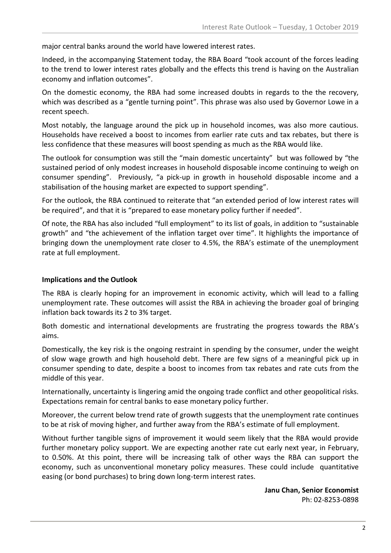major central banks around the world have lowered interest rates.

Indeed, in the accompanying Statement today, the RBA Board "took account of the forces leading to the trend to lower interest rates globally and the effects this trend is having on the Australian economy and inflation outcomes".

On the domestic economy, the RBA had some increased doubts in regards to the the recovery, which was described as a "gentle turning point". This phrase was also used by Governor Lowe in a recent speech.

Most notably, the language around the pick up in household incomes, was also more cautious. Households have received a boost to incomes from earlier rate cuts and tax rebates, but there is less confidence that these measures will boost spending as much as the RBA would like.

The outlook for consumption was still the "main domestic uncertainty" but was followed by "the sustained period of only modest increases in household disposable income continuing to weigh on consumer spending". Previously, "a pick-up in growth in household disposable income and a stabilisation of the housing market are expected to support spending".

For the outlook, the RBA continued to reiterate that "an extended period of low interest rates will be required", and that it is "prepared to ease monetary policy further if needed".

Of note, the RBA has also included "full employment" to its list of goals, in addition to "sustainable growth" and "the achievement of the inflation target over time". It highlights the importance of bringing down the unemployment rate closer to 4.5%, the RBA's estimate of the unemployment rate at full employment.

#### **Implications and the Outlook**

The RBA is clearly hoping for an improvement in economic activity, which will lead to a falling unemployment rate. These outcomes will assist the RBA in achieving the broader goal of bringing inflation back towards its 2 to 3% target.

Both domestic and international developments are frustrating the progress towards the RBA's aims.

Domestically, the key risk is the ongoing restraint in spending by the consumer, under the weight of slow wage growth and high household debt. There are few signs of a meaningful pick up in consumer spending to date, despite a boost to incomes from tax rebates and rate cuts from the middle of this year.

Internationally, uncertainty is lingering amid the ongoing trade conflict and other geopolitical risks. Expectations remain for central banks to ease monetary policy further.

Moreover, the current below trend rate of growth suggests that the unemployment rate continues to be at risk of moving higher, and further away from the RBA's estimate of full employment.

Without further tangible signs of improvement it would seem likely that the RBA would provide further monetary policy support. We are expecting another rate cut early next year, in February, to 0.50%. At this point, there will be increasing talk of other ways the RBA can support the economy, such as unconventional monetary policy measures. These could include quantitative easing (or bond purchases) to bring down long-term interest rates.

> **Janu Chan, Senior Economist** Ph: 02-8253-0898